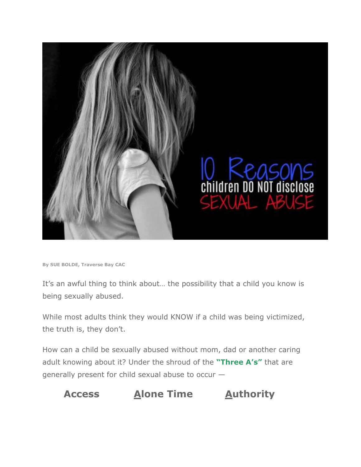

**By SUE BOLDE, Traverse Bay CAC**

It's an awful thing to think about… the possibility that a child you know is being sexually abused.

While most adults think they would KNOW if a child was being victimized, the truth is, they don't.

How can a child be sexually abused without mom, dad or another caring adult knowing about it? Under the shroud of the **["Three A's"](https://www.traversebaycac.org/2018/02/12/understanding-the-three-as-sexual-abuse/)** that are generally present for child sexual abuse to occur —

# **Access Alone Time Authority**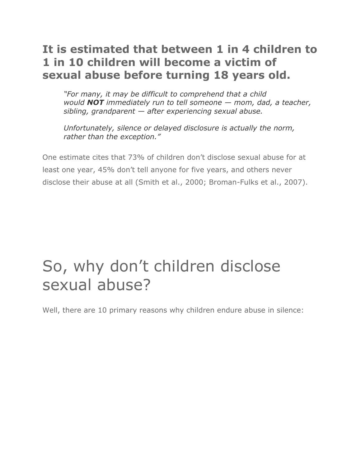# **It is estimated that between 1 in 4 children to 1 in 10 children will become a victim of sexual abuse before turning 18 years old.**

*"For many, it may be difficult to comprehend that a child would NOT immediately run to tell someone — mom, dad, a teacher, sibling, grandparent — after experiencing sexual abuse.* 

*Unfortunately, silence or delayed disclosure is actually the norm, rather than the exception."*

One estimate cites that 73% of children don't disclose sexual abuse for at least one year, 45% don't tell anyone for five years, and others never disclose their abuse at all (Smith et al., 2000; Broman-Fulks et al., 2007).

# So, why don't children disclose sexual abuse?

Well, there are 10 primary reasons why children endure abuse in silence: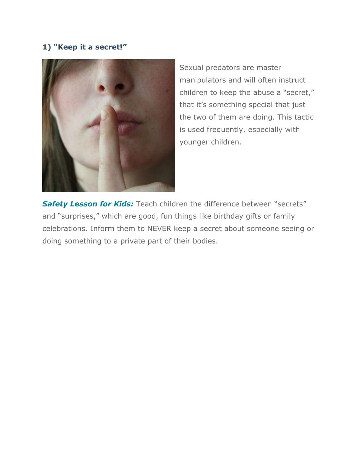# **1) "Keep it a secret!"**



Sexual predators are master manipulators and will often instruct children to keep the abuse a "secret," that it's something special that just the two of them are doing. This tactic is used frequently, especially with younger children.

**Safety Lesson for Kids:** Teach children the difference between "secrets" and "surprises," which are good, fun things like birthday gifts or family celebrations. Inform them to NEVER keep a secret about someone seeing or doing something to a private part of their bodies.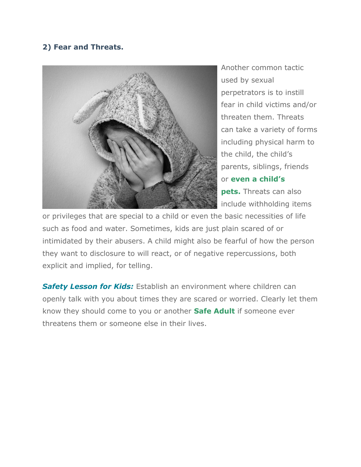# **2) Fear and Threats.**



Another common tactic used by sexual perpetrators is to instill fear in child victims and/or threaten them. Threats can take a variety of forms including physical harm to the child, the child's parents, siblings, friends or **[even a child's](https://www.traversebaycac.org/2018/06/15/animal-abuse-child-abuse-link/)  [pets.](https://www.traversebaycac.org/2018/06/15/animal-abuse-child-abuse-link/)** Threats can also include withholding items

or privileges that are special to a child or even the basic necessities of life such as food and water. Sometimes, kids are just plain scared of or intimidated by their abusers. A child might also be fearful of how the person they want to disclosure to will react, or of negative repercussions, both explicit and implied, for telling.

**Safety Lesson for Kids:** Establish an environment where children can openly talk with you about times they are scared or worried. Clearly let them know they should come to you or another **[Safe Adult](https://www.traversebaycac.org/2018/06/15/doc-talk-identifying-safe-adults/)** if someone ever threatens them or someone else in their lives.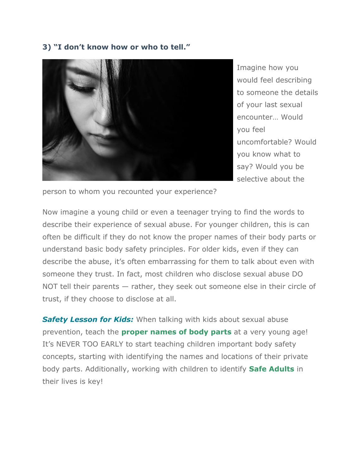#### **3) "I don't know how or who to tell."**



Imagine how you would feel describing to someone the details of your last sexual encounter… Would you feel uncomfortable? Would you know what to say? Would you be selective about the

person to whom you recounted your experience?

Now imagine a young child or even a teenager trying to find the words to describe their experience of sexual abuse. For younger children, this is can often be difficult if they do not know the proper names of their body parts or understand basic body safety principles. For older kids, even if they can describe the abuse, it's often embarrassing for them to talk about even with someone they trust. In fact, most children who disclose sexual abuse DO NOT tell their parents — rather, they seek out someone else in their circle of trust, if they choose to disclose at all.

**Safety Lesson for Kids:** When talking with kids about sexual abuse prevention, teach the **[proper names of body parts](https://www.traversebaycac.org/believe-jeeves/believe-jeeves-private-body-parts/)** at a very young age! It's NEVER TOO EARLY to start teaching children important body safety concepts, starting with identifying the names and locations of their private body parts. Additionally, working with children to identify **[Safe Adults](https://www.traversebaycac.org/2018/06/15/doc-talk-identifying-safe-adults/)** in their lives is key!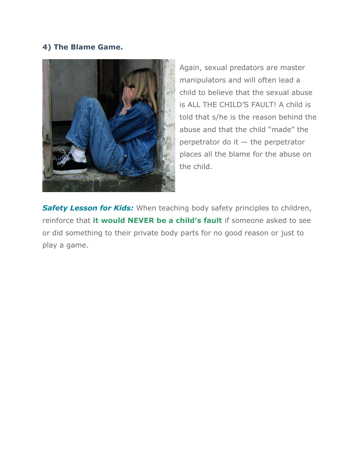## **4) The Blame Game.**



Again, sexual predators are master manipulators and will often lead a child to believe that the sexual abuse is ALL THE CHILD'S FAULT! A child is told that s/he is the reason behind the abuse and that the child "made" the perpetrator do it  $-$  the perpetrator places all the blame for the abuse on the child.

**Safety Lesson for Kids:** When teaching body safety principles to children, reinforce that **[it would NEVER be a child's fault](https://www.traversebaycac.org/believe-jeeves/believe-jeeves-okay-someone-see-touch-private-body-parts/)** if someone asked to see or did something to their private body parts for no good reason or just to play a game.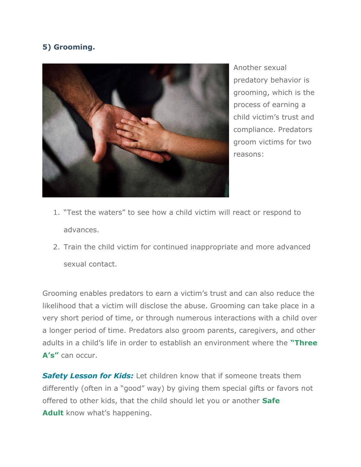# **5) Grooming.**



Another sexual predatory behavior is grooming, which is the process of earning a child victim's trust and compliance. Predators groom victims for two reasons:

- 1. "Test the waters" to see how a child victim will react or respond to advances.
- 2. Train the child victim for continued inappropriate and more advanced sexual contact.

Grooming enables predators to earn a victim's trust and can also reduce the likelihood that a victim will disclose the abuse. Grooming can take place in a very short period of time, or through numerous interactions with a child over a longer period of time. Predators also groom parents, caregivers, and other adults in a child's life in order to establish an environment where the **["Three](https://www.traversebaycac.org/2018/02/12/understanding-the-three-as-sexual-abuse/)  [A's"](https://www.traversebaycac.org/2018/02/12/understanding-the-three-as-sexual-abuse/)** can occur.

**Safety Lesson for Kids:** Let children know that if someone treats them differently (often in a "good" way) by giving them special gifts or favors not offered to other kids, that the child should let you or another **[Safe](https://www.traversebaycac.org/believe-jeeves-safe-adults/)  [Adult](https://www.traversebaycac.org/believe-jeeves-safe-adults/)** know what's happening.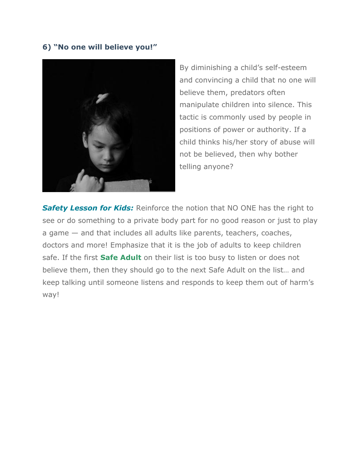### **6) "No one will believe you!"**



By diminishing a child's self-esteem and convincing a child that no one will believe them, predators often manipulate children into silence. This tactic is commonly used by people in positions of power or authority. If a child thinks his/her story of abuse will not be believed, then why bother telling anyone?

**Safety Lesson for Kids:** Reinforce the notion that NO ONE has the right to see or do something to a private body part for no good reason or just to play a game — and that includes all adults like parents, teachers, coaches, doctors and more! Emphasize that it is the job of adults to keep children safe. If the first **[Safe Adult](https://www.traversebaycac.org/believe-jeeves-safe-adults/)** on their list is too busy to listen or does not believe them, then they should go to the next Safe Adult on the list… and keep talking until someone listens and responds to keep them out of harm's way!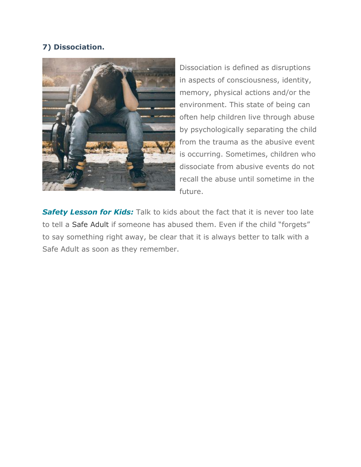# **7) Dissociation.**



Dissociation is defined as disruptions in aspects of consciousness, identity, memory, physical actions and/or the environment. This state of being can often help children live through abuse by psychologically separating the child from the trauma as the abusive event is occurring. Sometimes, children who dissociate from abusive events do not recall the abuse until sometime in the future.

**Safety Lesson for Kids:** Talk to kids about the fact that it is never too late to tell a [Safe Adult](https://www.traversebaycac.org/2018/06/15/doc-talk-identifying-safe-adults/) if someone has abused them. Even if the child "forgets" to say something right away, be clear that it is always better to talk with a Safe Adult as soon as they remember.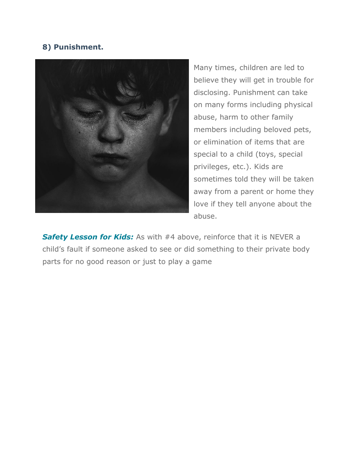# **8) Punishment.**



Many times, children are led to believe they will get in trouble for disclosing. Punishment can take on many forms including physical abuse, harm to other family members including beloved pets, or elimination of items that are special to a child (toys, special privileges, etc.). Kids are sometimes told they will be taken away from a parent or home they love if they tell anyone about the abuse.

**Safety Lesson for Kids:** As with #4 above, reinforce that it is NEVER a child's fault if someone asked to see or did something to their private body parts for no good reason or just to play a game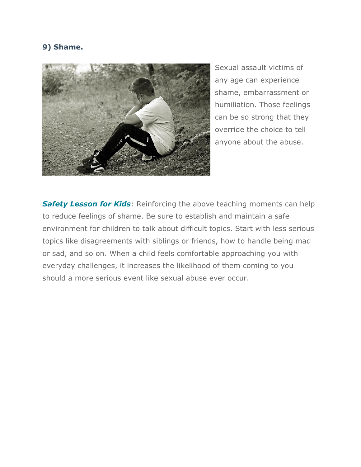### **9) Shame.**



Sexual assault victims of any age can experience shame, embarrassment or humiliation. Those feelings can be so strong that they override the choice to tell anyone about the abuse.

**Safety Lesson for Kids: Reinforcing the above teaching moments can help** to reduce feelings of shame. Be sure to establish and maintain a safe environment for children to talk about difficult topics. Start with less serious topics like disagreements with siblings or friends, how to handle being mad or sad, and so on. When a child feels comfortable approaching you with everyday challenges, it increases the likelihood of them coming to you should a more serious event like sexual abuse ever occur.